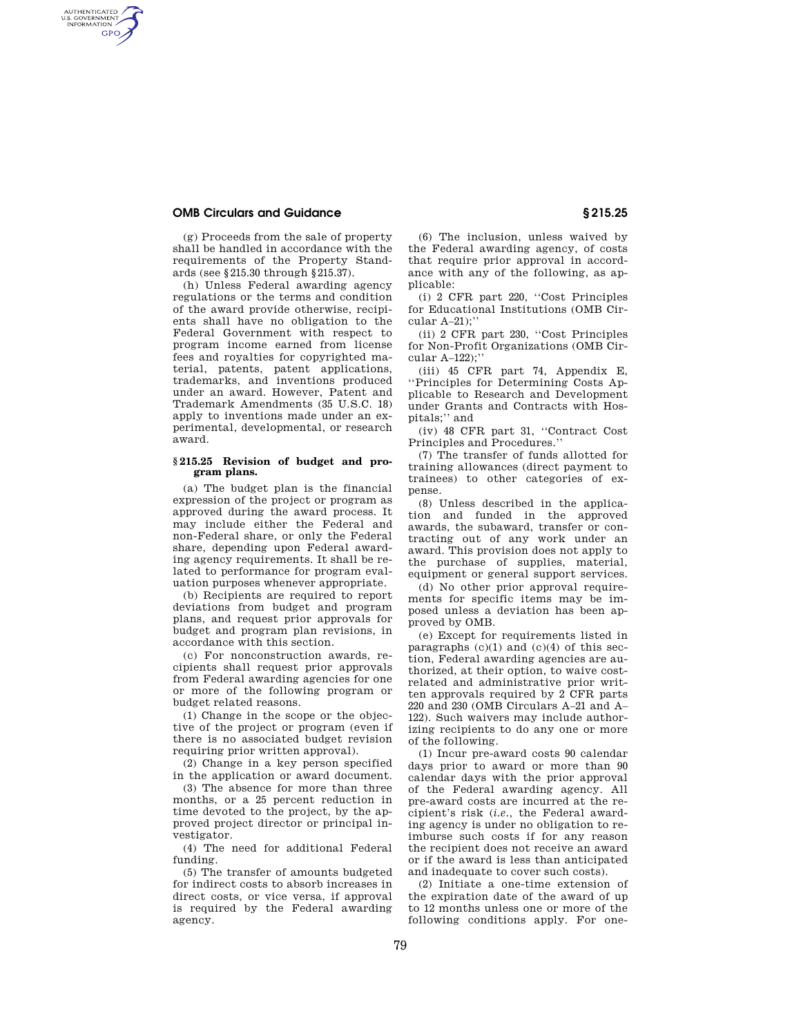## **OMB Circulars and Guidance § 215.25**

AUTHENTICATED<br>U.S. GOVERNMENT<br>INFORMATION **GPO** 

> (g) Proceeds from the sale of property shall be handled in accordance with the requirements of the Property Standards (see §215.30 through §215.37).

(h) Unless Federal awarding agency regulations or the terms and condition of the award provide otherwise, recipients shall have no obligation to the Federal Government with respect to program income earned from license fees and royalties for copyrighted material, patents, patent applications, trademarks, and inventions produced under an award. However, Patent and Trademark Amendments (35 U.S.C. 18) apply to inventions made under an experimental, developmental, or research award.

## **§ 215.25 Revision of budget and program plans.**

(a) The budget plan is the financial expression of the project or program as approved during the award process. It may include either the Federal and non-Federal share, or only the Federal share, depending upon Federal awarding agency requirements. It shall be related to performance for program evaluation purposes whenever appropriate.

(b) Recipients are required to report deviations from budget and program plans, and request prior approvals for budget and program plan revisions, in accordance with this section.

(c) For nonconstruction awards, recipients shall request prior approvals from Federal awarding agencies for one or more of the following program or budget related reasons.

(1) Change in the scope or the objective of the project or program (even if there is no associated budget revision requiring prior written approval).

(2) Change in a key person specified in the application or award document.

(3) The absence for more than three months, or a 25 percent reduction in time devoted to the project, by the approved project director or principal investigator.

(4) The need for additional Federal funding.

(5) The transfer of amounts budgeted for indirect costs to absorb increases in direct costs, or vice versa, if approval is required by the Federal awarding agency.

(6) The inclusion, unless waived by the Federal awarding agency, of costs that require prior approval in accordance with any of the following, as applicable:

(i) 2 CFR part 220, ''Cost Principles for Educational Institutions (OMB Circular A–21);''

(ii) 2 CFR part 230, ''Cost Principles for Non-Profit Organizations (OMB Circular A–122);''

(iii) 45 CFR part 74, Appendix E, ''Principles for Determining Costs Applicable to Research and Development under Grants and Contracts with Hospitals;'' and

(iv) 48 CFR part 31, ''Contract Cost Principles and Procedures.''

(7) The transfer of funds allotted for training allowances (direct payment to trainees) to other categories of expense.

(8) Unless described in the application and funded in the approved awards, the subaward, transfer or contracting out of any work under an award. This provision does not apply to the purchase of supplies, material, equipment or general support services.

(d) No other prior approval requirements for specific items may be imposed unless a deviation has been approved by OMB.

(e) Except for requirements listed in paragraphs  $(c)(1)$  and  $(c)(4)$  of this section, Federal awarding agencies are authorized, at their option, to waive costrelated and administrative prior written approvals required by 2 CFR parts 220 and 230 (OMB Circulars A–21 and A– 122). Such waivers may include authorizing recipients to do any one or more of the following.

(1) Incur pre-award costs 90 calendar days prior to award or more than 90 calendar days with the prior approval of the Federal awarding agency. All pre-award costs are incurred at the recipient's risk (*i.e.,* the Federal awarding agency is under no obligation to reimburse such costs if for any reason the recipient does not receive an award or if the award is less than anticipated and inadequate to cover such costs).

(2) Initiate a one-time extension of the expiration date of the award of up to 12 months unless one or more of the following conditions apply. For one-